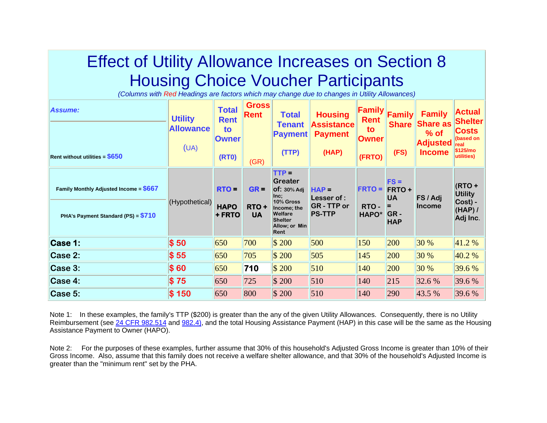# Effect of Utility Allowance Increases on Section 8 Housing Choice Voucher Participants

*(Columns with Red Headings are factors which may change due to changes in Utility Allowances)*

| Assume:<br><b>Rent without utilities = <math>\$650</math></b>                                     | <b>Utility</b><br><b>Allowance</b><br>(UA) | <b>Total</b><br><b>Rent</b><br>to<br><b>Owner</b><br><b>(RT0)</b> | <b>Gross</b><br><b>Rent</b><br>(GR) | <b>Total</b><br><b>Tenant</b><br><b>Payment</b><br>(TTP)                                                                      | <b>Housing</b><br><b>Assistance</b><br><b>Payment</b><br>(HAP) | <b>Family</b><br><b>Rent</b><br>to<br><b>Owner</b><br>(FRTO) | Family<br><b>Share</b><br>(FS)                                | <b>Family</b><br><b>Share as</b><br>% of<br><b>Adjusted</b><br><b>Income</b> | <b>Actual</b><br>Shelter∥<br><b>Costs</b><br>(based on<br>real<br>\$125/mo<br>utilities) |
|---------------------------------------------------------------------------------------------------|--------------------------------------------|-------------------------------------------------------------------|-------------------------------------|-------------------------------------------------------------------------------------------------------------------------------|----------------------------------------------------------------|--------------------------------------------------------------|---------------------------------------------------------------|------------------------------------------------------------------------------|------------------------------------------------------------------------------------------|
| <b>Family Monthly Adjusted Income = <math>\$667</math></b><br>PHA's Payment Standard (PS) = \$710 | (Hypothetical)                             | RTO =<br><b>HAPO</b><br>+ FRTO                                    | $GR =$<br>RTO+<br><b>UA</b>         | $TTP =$<br>Greater<br>$Of: 30%$ Adj<br>Inc;<br>10% Gross<br>Income; the<br>Welfare<br><b>Shelter</b><br>Allow; or Min<br>Rent | $HAP =$<br>Lesser of :<br><b>GR-TTP or</b><br><b>PS-TTP</b>    | <b>FRTO =</b><br>RTO-<br>HAPO*                               | $FS =$<br><b>FRTO+</b><br><b>UA</b><br>Е<br>GR-<br><b>HAP</b> | FS / Adj<br><b>Income</b>                                                    | $(RTO +$<br><b>Utility</b><br>Cost) -<br>(HAP)<br>Adj Inc.                               |
| Case 1:                                                                                           | \$50                                       | 650                                                               | 700                                 | \$200                                                                                                                         | 500                                                            | 150                                                          | 200                                                           | 30 %                                                                         | 41.2%                                                                                    |
| Case 2:                                                                                           | \$55                                       | 650                                                               | 705                                 | $\frac{1}{200}$                                                                                                               | 505                                                            | 145                                                          | 200                                                           | 30 %                                                                         | 40.2 %                                                                                   |
| Case 3:                                                                                           | \$60                                       | 650                                                               | 710                                 | \$200                                                                                                                         | 510                                                            | 140                                                          | 200                                                           | 30 %                                                                         | 39.6 %                                                                                   |
| Case 4:                                                                                           | $\$75$                                     | 650                                                               | 725                                 | $\frac{1}{200}$                                                                                                               | 510                                                            | 140                                                          | 215                                                           | 32.6 %                                                                       | 39.6 %                                                                                   |
| Case 5:                                                                                           | \$150                                      | 650                                                               | 800                                 | \$200                                                                                                                         | 510                                                            | 140                                                          | 290                                                           | 43.5 %                                                                       | 39.6 %                                                                                   |

Note 1: In these examples, the family's TTP (\$200) is greater than the any of the given Utility Allowances. Consequently, there is no Utility Reimbursement (see [24 CFR 982.514](http://www.gulpny.org/Web Templates/Consolidated20Part982.htm#� 982.514 Distribution of housing assistance) and [982.4\)](http://www.gulpny.org/Web Templates/Consolidated20Part982.htm#Utility), and the total Housing Assistance Payment (HAP) in this case will be the same as the Housing Assistance Payment to Owner (HAPO).

Note 2: For the purposes of these examples, further assume that 30% of this household's Adjusted Gross Income is greater than 10% of their Gross Income. Also, assume that this family does not receive a welfare shelter allowance, and that 30% of the household's Adjusted Income is greater than the "minimum rent" set by the PHA.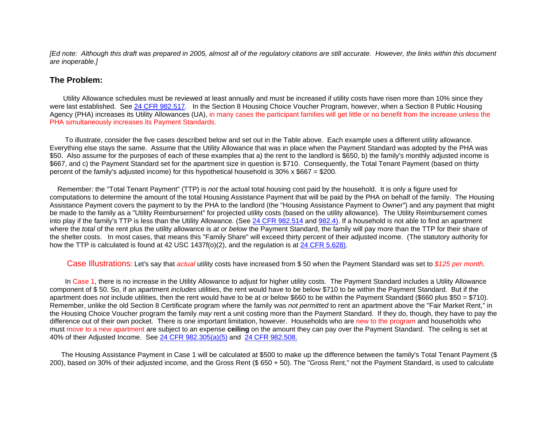*[Ed note: Although this draft was prepared in 2005, almost all of the regulatory citations are still accurate. However, the links within this document are inoperable.]* 

## **The Problem:**

 Utility Allowance schedules must be reviewed at least annually and must be increased if utility costs have risen more than 10% since they were last established. See [24 CFR 982.517](http://www.gulpny.org/Web Templates/Consolidated20Part982.htm#� 982.517 Utility allowance). In the Section 8 Housing Choice Voucher Program, however, when a Section 8 Public Housing Agency (PHA) increases its Utility Allowances (UA), in many cases the participant families will get little or no benefit from the increase unless the PHA simultaneously increases its Payment Standards.

 To illustrate, consider the five cases described below and set out in the Table above. Each example uses a different utility allowance. Everything else stays the same. Assume that the Utility Allowance that was in place when the Payment Standard was adopted by the PHA was \$50. Also assume for the purposes of each of these examples that a) the rent to the landlord is \$650, b) the family's monthly adjusted income is \$667, and c) the Payment Standard set for the apartment size in question is \$710. Consequently, the Total Tenant Payment (based on thirty percent of the family's adjusted income) for this hypothetical household is 30% x \$667 = \$200.

 Remember: the "Total Tenant Payment" (TTP) is *not* the actual total housing cost paid by the household. It is only a figure used for computations to determine the amount of the total Housing Assistance Payment that will be paid by the PHA on behalf of the family. The Housing Assistance Payment covers the payment to by the PHA to the landlord (the "Housing Assistance Payment to Owner") and any payment that might be made to the family as a "Utility Reimbursement" for projected utility costs (based on the utility allowance). The Utility Reimbursement comes into play if the family's TTP is less than the Utility Allowance. (See [24 CFR 982.514](http://www.gulpny.org/Web Templates/Consolidated20Part982.htm#� 982.514 Distribution of housing assistance) and [982.4\)](http://www.gulpny.org/Web Templates/Consolidated20Part982.htm#Utility). If a household is not able to find an apartment where the *total* of the rent plus the utility allowance is *at or below* the Payment Standard, the family will pay more than the TTP for their share of the shelter costs. In most cases, that means this "Family Share" will exceed thirty percent of their adjusted income. (The statutory authority for how the TTP is calculated is found at 42 USC 1437f(o)(2), and the regulation is at [24 CFR 5.628\)](http://www.access.gpo.gov/nara/cfr/cfr-retrieve.html#page1).

Case Illustrations: Let's say that *actual* utility costs have increased from \$ 50 when the Payment Standard was set to *\$125 per month.*

 In Case 1, there is no increase in the Utility Allowance to adjust for higher utility costs. The Payment Standard includes a Utility Allowance component of \$ 50. So, if an apartment *includes* utilities, the rent would have to be below \$710 to be within the Payment Standard. But if the apartment does *not* include utilities, then the rent would have to be at or below \$660 to be within the Payment Standard (\$660 plus \$50 = \$710). Remember, unlike the old Section 8 Certificate program where the family was *not permitted* to rent an apartment above the "Fair Market Rent," in the Housing Choice Voucher program the family *may* rent a unit costing more than the Payment Standard. If they do, though, they have to pay the difference out of their own pocket. There is one important limitation, however. Households who are new to the program and households who must move to a new apartment are subject to an expense **ceiling** on the amount they can pay over the Payment Standard. The ceiling is set at 40% of their Adjusted Income. See [24 CFR 982.305\(a\)\(5\)](http://www.gulpny.org/Web Templates/Consolidated20Part982.htm#� 982.305 PHA approval of assisted tenancy.) and [24 CFR 982.508.](http://www.gulpny.org/Web Templates/Consolidated20Part982.htm#� 982.508 Maximum family share at initial)

 The Housing Assistance Payment in Case 1 will be calculated at \$500 to make up the difference between the family's Total Tenant Payment (\$ 200), based on 30% of their adjusted income, and the Gross Rent (\$ 650 + 50). The "Gross Rent," not the Payment Standard, is used to calculate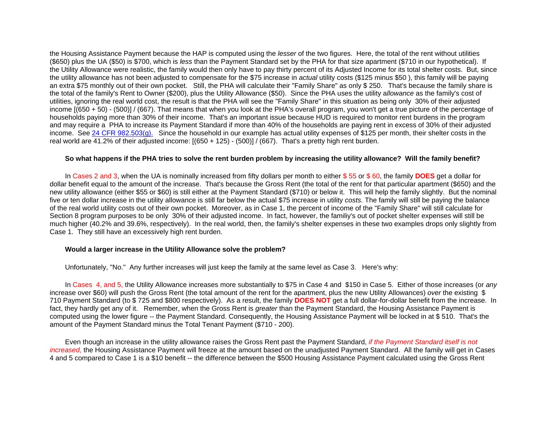the Housing Assistance Payment because the HAP is computed using the *lesser* of the two figures. Here, the total of the rent without utilities (\$650) plus the UA (\$50) is \$700, which is *less* than the Payment Standard set by the PHA for that size apartment (\$710 in our hypothetical). If the Utility Allowance were realistic, the family would then only have to pay thirty percent of its Adjusted Income for its total shelter costs. But, since the utility allowance has not been adjusted to compensate for the \$75 increase in *actual* utility costs (\$125 minus \$50 ), this family will be paying an extra \$75 monthly out of their own pocket. Still, the PHA will calculate their "Family Share" as only \$ 250. That's because the family share is the total of the family's Rent to Owner (\$200), plus the Utility Allowance (\$50). Since the PHA uses the utility a*llowance* as the family's cost of utilities, ignoring the real world cost, the result is that the PHA will see the "Family Share" in this situation as being only 30% of their adjusted income [(650 + 50) - (500)] / (667). That means that when you look at the PHA's overall program, you won't get a true picture of the percentage of households paying more than 30% of their income. That's an important issue because HUD is required to monitor rent burdens in the program and may require a PHA to increase its Payment Standard if more than 40% of the households are paying rent in excess of 30% of their adjusted income. See [24 CFR 982.503\(g\).](http://www.gulpny.org/Web Templates/Consolidated20Part982.htm#� 982.503 Voucher tenancy:  Payment standard) Since the household in our example has actual utility expenses of \$125 per month, their shelter costs in the real world are 41.2% of their adjusted income: [(650 + 125) - (500)] / (667). That's a pretty high rent burden.

### **So what happens if the PHA tries to solve the rent burden problem by increasing the utility allowance? Will the family benefit ?**

 In Cases 2 and 3, when the UA is nominally increased from fifty dollars per month to either \$ 55 or \$ 60, the family **DOES** get a dollar for dollar benefit equal to the amount of the increase. That's because the Gross Rent (the total of the rent for that particular apartment (\$650) and the new utility allowance (either \$55 or \$60) is still either at the Payment Standard (\$710) or below it. This will help the family slightly. But the nominal five or ten dollar increase in the utility allowance is still far below the actual \$75 increase in utility *costs.* The family will still be paying the balance of the real world utility costs out of their own pocket. Moreover, as in Case 1, the percent of income of the "Family Share" will still calculate for Section 8 program purposes to be only 30% of their adjusted income. In fact, however, the familiy's out of pocket shelter expenses will still be much higher (40.2% and 39.6%, respectively). In the real world, then, the family's shelter expenses in these two examples drops only slightly from Case 1. They still have an excessively high rent burden.

### **Would a larger increase in the Utility Allowance solve the problem?**

Unfortunately, "No." Any further increases will just keep the family at the same level as Case 3. Here's why:

 In Cases 4, and 5, the Utility Allowance increases more substantially to \$75 in Case 4 and \$150 in Case 5. Either of those increases (or *any* increase over \$60) will push the Gross Rent (the total amount of the rent for the apartment, plus the new Utility Allowances) *over* the existing \$ 710 Payment Standard (to \$ 725 and \$800 respectively). As a result, the family **DOES NOT** get a full dollar-for-dollar benefit from the increase. In fact, they hardly get any of it. Remember, when the Gross Rent is *greater* than the Payment Standard, the Housing Assistance Payment is computed using the lower figure -- the Payment Standard. Consequently, the Housing Assistance Payment will be locked in at \$ 510. That's the amount of the Payment Standard minus the Total Tenant Payment (\$710 - 200).

 Even though an increase in the utility allowance raises the Gross Rent past the Payment Standard, *if the Payment Standard itself is not increased,* the Housing Assistance Payment will freeze at the amount based on the unadjusted Payment Standard. All the family will get in Cases 4 and 5 compared to Case 1 is a \$10 benefit -- the difference between the \$500 Housing Assistance Payment calculated using the Gross Rent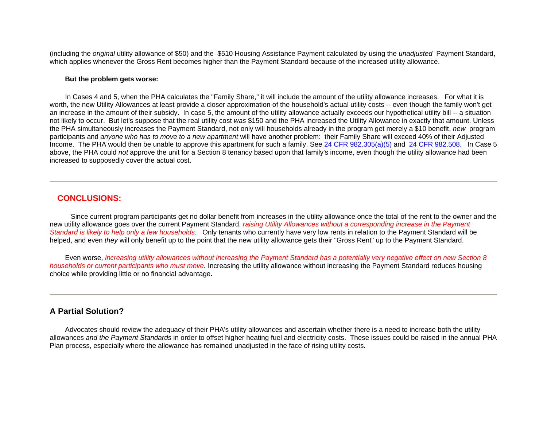(including the *original* utility allowance of \$50) and the \$510 Housing Assistance Payment calculated by using the *unadjusted* Payment Standard, which applies whenever the Gross Rent becomes higher than the Payment Standard because of the increased utility allowance.

#### **But the problem gets worse:**

 In Cases 4 and 5, when the PHA calculates the "Family Share," it will include the amount of the utility allowance increases. For what it is worth, the new Utility Allowances at least provide a closer approximation of the household's actual utility costs -- even though the family won't get an increase in the amount of their subsidy. In case 5, the amount of the utility allowance actually exceeds our hypothetical utility bill -- a situation not likely to occur. But let's suppose that the real utility cost *was* \$150 and the PHA increased the Utility Allowance in exactly that amount. Unless the PHA simultaneously increases the Payment Standard, not only will households already in the program get merely a \$10 benefit, *new* program participants and *anyone who has to move to a new apartment* will have another problem: their Family Share will exceed 40% of their Adjusted Income. The PHA would then be unable to approve this apartment for such a family. See [24 CFR 982.305\(a\)\(5\)](http://www.gulpny.org/Web Templates/Consolidated20Part982.htm#� 982.305 PHA approval of assisted tenancy.) and [24 CFR 982.508.](http://www.gulpny.org/Web Templates/Consolidated20Part982.htm#� 982.508 Maximum family share at initial) In Case 5 above, the PHA could *not* approve the unit for a Section 8 tenancy based upon that family's income, even though the utility allowance had been increased to supposedly cover the actual cost.

## **CONCLUSIONS:**

 Since current program participants get no dollar benefit from increases in the utility allowance once the total of the rent to the owner and the new utility allowance goes over the current Payment Standard, *raising Utility Allowances without a corresponding increase in the Payment Standard is likely to help only a few households*. Only tenants who currently have very low rents in relation to the Payment Standard will be helped, and even *they* will only benefit up to the point that the new utility allowance gets their "Gross Rent" up to the Payment Standard.

 Even worse, *increasing utility allowances without increasing the Payment Standard has a potentially very negative effect on new Section 8 households or current participants who must move.* Increasing the utility allowance without increasing the Payment Standard reduces housing choice while providing little or no financial advantage.

## **A Partial Solution?**

 Advocates should review the adequacy of their PHA's utility allowances and ascertain whether there is a need to increase both the utility allowances *and the Payment Standards* in order to offset higher heating fuel and electricity costs. These issues could be raised in the annual PHA Plan process, especially where the allowance has remained unadjusted in the face of rising utility costs.